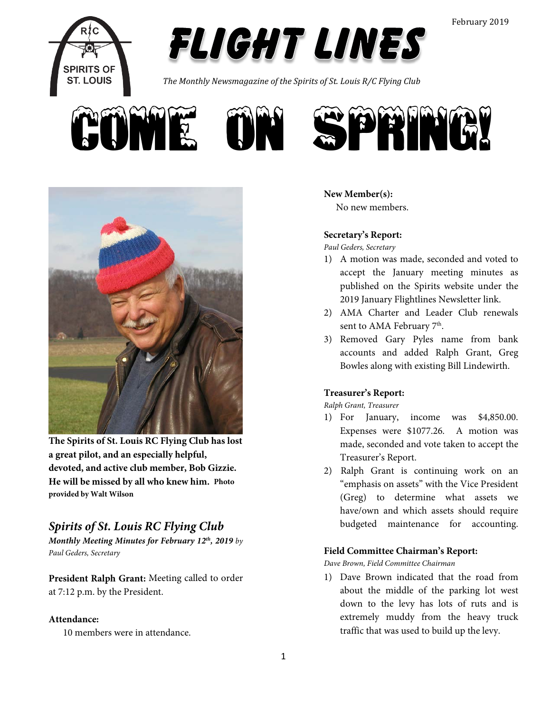



*The Monthly Newsmagazine of the Spirits of St. Louis R/C Flying Club*





**The Spirits of St. Louis RC Flying Club has lost a great pilot, and an especially helpful, devoted, and active club member, Bob Gizzie. He will be missed by all who knew him. Photo provided by Walt Wilson**

# *Spirits of St. Louis RC Flying Club*

*Monthly Meeting Minutes for February 12th, 2019 by Paul Geders, Secretary*

**President Ralph Grant:** Meeting called to order at 7:12 p.m. by the President.

## **Attendance:**

10 members were in attendance.

## **New Member(s):**

No new members.

## **Secretary's Report:**

*Paul Geders, Secretary*

- 1) A motion was made, seconded and voted to accept the January meeting minutes as published on the Spirits website under the 2019 January Flightlines Newsletter link.
- 2) AMA Charter and Leader Club renewals sent to AMA February 7<sup>th</sup>.
- 3) Removed Gary Pyles name from bank accounts and added Ralph Grant, Greg Bowles along with existing Bill Lindewirth.

## **Treasurer's Report:**

*Ralph Grant, Treasurer*

- 1) For January, income was \$4,850.00. Expenses were \$1077.26. A motion was made, seconded and vote taken to accept the Treasurer's Report.
- 2) Ralph Grant is continuing work on an "emphasis on assets" with the Vice President (Greg) to determine what assets we have/own and which assets should require budgeted maintenance for accounting.

## **Field Committee Chairman's Report:**

*Dave Brown, Field Committee Chairman*

1) Dave Brown indicated that the road from about the middle of the parking lot west down to the levy has lots of ruts and is extremely muddy from the heavy truck traffic that was used to build up the levy.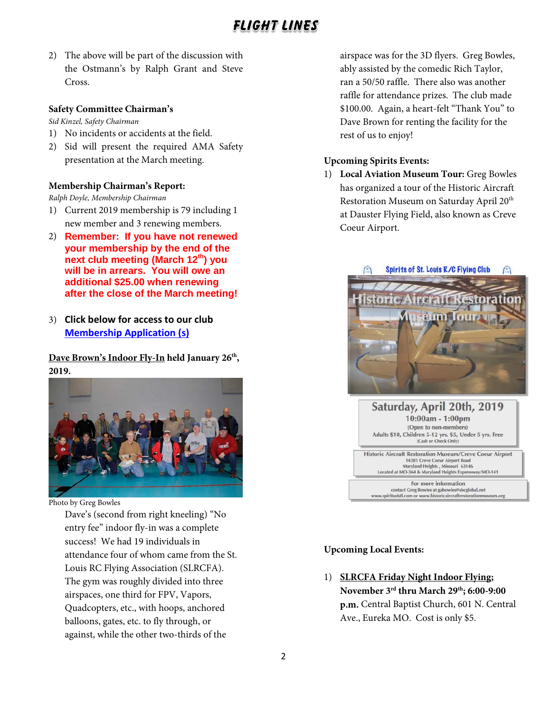2) The above will be part of the discussion with the Ostmann's by Ralph Grant and Steve Cross.

### **Safety Committee Chairman's**

*Sid Kinzel, Safety Chairman*

- 1) No incidents or accidents at the field.
- 2) Sid will present the required AMA Safety presentation at the March meeting.

## **Membership Chairman's Report:**

*Ralph Doyle, Membership Chairman*

- 1) Current 2019 membership is 79 including 1 new member and 3 renewing members.
- 2) **Remember: If you have not renewed your membership by the end of the next club meeting (March 12th) you will be in arrears. You will owe an additional \$25.00 when renewing after the close of the March meeting!**
- 3) **Click below for access to our club [Membership Application](http://spiritsofstl.com/membership.php) (s)**

Dave Brown's Indoor Fly-In held January 26<sup>th</sup>, **2019.**



Photo by Greg Bowles

Dave's (second from right kneeling) "No entry fee" indoor fly-in was a complete success! We had 19 individuals in attendance four of whom came from the St. Louis RC Flying Association (SLRCFA). The gym was roughly divided into three airspaces, one third for FPV, Vapors, Quadcopters, etc., with hoops, anchored balloons, gates, etc. to fly through, or against, while the other two-thirds of the

airspace was for the 3D flyers. Greg Bowles, ably assisted by the comedic Rich Taylor, ran a 50/50 raffle. There also was another raffle for attendance prizes. The club made \$100.00. Again, a heart-felt "Thank You" to Dave Brown for renting the facility for the rest of us to enjoy!

## **Upcoming Spirits Events:**

1) **Local Aviation Museum Tour:** Greg Bowles has organized a tour of the Historic Aircraft Restoration Museum on Saturday April 20<sup>th</sup> at Dauster Flying Field, also known as Creve Coeur Airport.





# **Upcoming Local Events:**

1) **SLRCFA Friday Night Indoor Flying; November 3rd thru March 29th; 6:00-9:00 p.m.** Central Baptist Church, 601 N. Central Ave., Eureka MO. Cost is only \$5.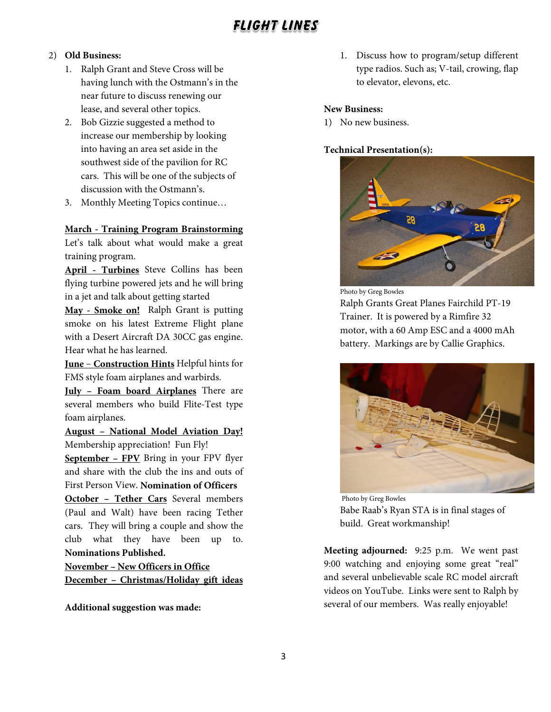#### 2) **Old Business:**

- 1. Ralph Grant and Steve Cross will be having lunch with the Ostmann's in the near future to discuss renewing our lease, and several other topics.
- 2. Bob Gizzie suggested a method to increase our membership by looking into having an area set aside in the southwest side of the pavilion for RC cars. This will be one of the subjects of discussion with the Ostmann's.
- 3. Monthly Meeting Topics continue…

### **March - Training Program Brainstorming**

Let's talk about what would make a great training program.

**April - Turbines** Steve Collins has been flying turbine powered jets and he will bring in a jet and talk about getting started

**May - Smoke on!** Ralph Grant is putting smoke on his latest Extreme Flight plane with a Desert Aircraft DA 30CC gas engine. Hear what he has learned.

**June** – **Construction Hints** Helpful hints for FMS style foam airplanes and warbirds.

**July – Foam board Airplanes** There are several members who build Flite-Test type foam airplanes.

**August – National Model Aviation Day!** Membership appreciation! Fun Fly!

**September – FPV** Bring in your FPV flyer and share with the club the ins and outs of First Person View. **Nomination of Officers**

**October – Tether Cars** Several members (Paul and Walt) have been racing Tether cars. They will bring a couple and show the club what they have been up to. **Nominations Published.**

**November – New Officers in Office December – Christmas/Holiday gift ideas**

**Additional suggestion was made:**

1. Discuss how to program/setup different type radios. Such as; V-tail, crowing, flap to elevator, elevons, etc.

### **New Business:**

1) No new business.

#### **Technical Presentation(s):**



Photo by Greg Bowles

Ralph Grants Great Planes Fairchild PT-19 Trainer. It is powered by a Rimfire 32 motor, with a 60 Amp ESC and a 4000 mAh battery. Markings are by Callie Graphics.



Photo by Greg Bowles Babe Raab's Ryan STA is in final stages of build. Great workmanship!

**Meeting adjourned:** 9:25 p.m. We went past 9:00 watching and enjoying some great "real" and several unbelievable scale RC model aircraft videos on YouTube. Links were sent to Ralph by several of our members. Was really enjoyable!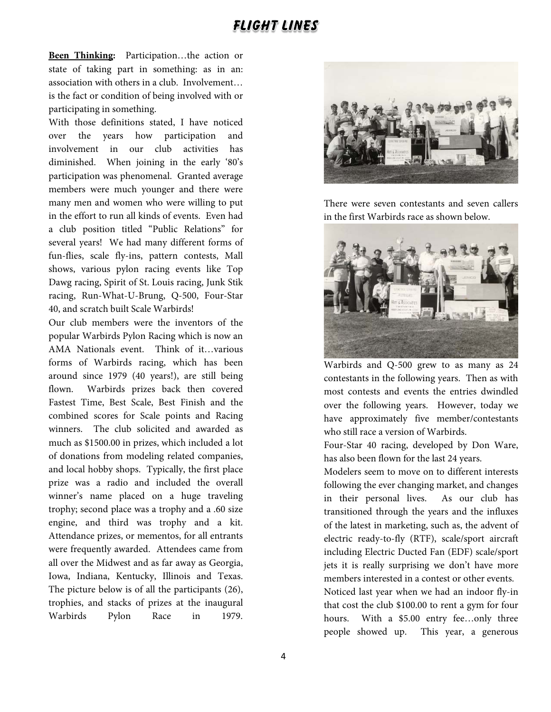**Been Thinking:** Participation…the action or state of taking part in something: as in an: association with others in a club. Involvement… is the fact or condition of being involved with or participating in something.

With those definitions stated, I have noticed over the years how participation and involvement in our club activities has diminished. When joining in the early '80's participation was phenomenal. Granted average members were much younger and there were many men and women who were willing to put in the effort to run all kinds of events. Even had a club position titled "Public Relations" for several years! We had many different forms of fun-flies, scale fly-ins, pattern contests, Mall shows, various pylon racing events like Top Dawg racing, Spirit of St. Louis racing, Junk Stik racing, Run-What-U-Brung, Q-500, Four-Star 40, and scratch built Scale Warbirds!

Our club members were the inventors of the popular Warbirds Pylon Racing which is now an AMA Nationals event. Think of it…various forms of Warbirds racing, which has been around since 1979 (40 years!), are still being flown. Warbirds prizes back then covered Fastest Time, Best Scale, Best Finish and the combined scores for Scale points and Racing winners. The club solicited and awarded as much as \$1500.00 in prizes, which included a lot of donations from modeling related companies, and local hobby shops. Typically, the first place prize was a radio and included the overall winner's name placed on a huge traveling trophy; second place was a trophy and a .60 size engine, and third was trophy and a kit. Attendance prizes, or mementos, for all entrants were frequently awarded. Attendees came from all over the Midwest and as far away as Georgia, Iowa, Indiana, Kentucky, Illinois and Texas. The picture below is of all the participants (26), trophies, and stacks of prizes at the inaugural Warbirds Pylon Race in 1979.



There were seven contestants and seven callers in the first Warbirds race as shown below.



Warbirds and Q-500 grew to as many as 24 contestants in the following years. Then as with most contests and events the entries dwindled over the following years. However, today we have approximately five member/contestants who still race a version of Warbirds.

Four-Star 40 racing, developed by Don Ware, has also been flown for the last 24 years.

Modelers seem to move on to different interests following the ever changing market, and changes in their personal lives. As our club has transitioned through the years and the influxes of the latest in marketing, such as, the advent of electric ready-to-fly (RTF), scale/sport aircraft including Electric Ducted Fan (EDF) scale/sport jets it is really surprising we don't have more members interested in a contest or other events.

Noticed last year when we had an indoor fly-in that cost the club \$100.00 to rent a gym for four hours. With a \$5.00 entry fee...only three people showed up. This year, a generous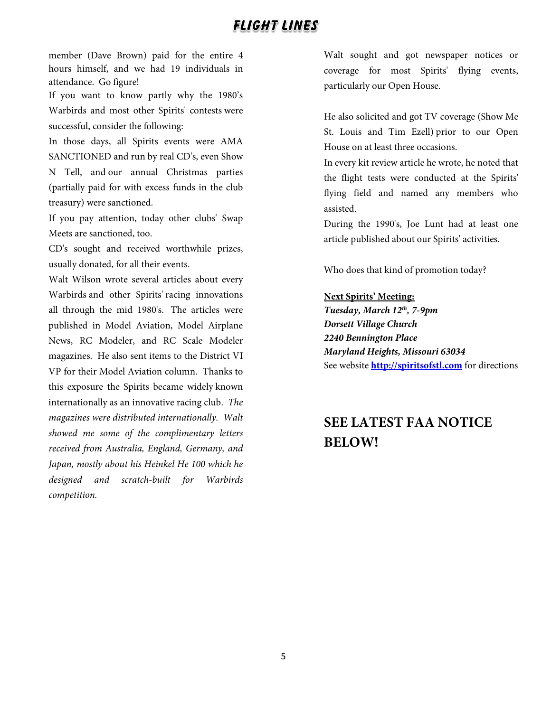member (Dave Brown) paid for the entire 4 hours himself, and we had 19 individuals in attendance. Go figure!

If you want to know partly why the 1980's Warbirds and most other Spirits' contests were successful, consider the following:

In those days, all Spirits events were AMA SANCTIONED and run by real CD's, even Show N Tell, and our annual Christmas parties (partially paid for with excess funds in the club treasury) were sanctioned.

If you pay attention, today other clubs' Swap Meets are sanctioned, too.

CD's sought and received worthwhile prizes, usually donated, for all their events.

Walt Wilson wrote several articles about every Warbirds and other Spirits' racing innovations all through the mid 1980's. The articles were published in Model Aviation, Model Airplane News, RC Modeler, and RC Scale Modeler magazines. He also sent items to the District VI VP for their Model Aviation column. Thanks to this exposure the Spirits became widely known internationally as an innovative racing club. *The magazines were distributed internationally. Walt showed me some of the complimentary letters received from Australia, England, Germany, and Japan, mostly about his Heinkel He 100 which he designed and scratch-built for Warbirds competition.*

Walt sought and got newspaper notices or coverage for most Spirits' flying events, particularly our Open House.

He also solicited and got TV coverage (Show Me St. Louis and Tim Ezell) prior to our Open House on at least three occasions.

In every kit review article he wrote, he noted that the flight tests were conducted at the Spirits' flying field and named any members who assisted.

During the 1990's, Joe Lunt had at least one article published about our Spirits' activities.

Who does that kind of promotion today?

#### **Next Spirits' Meeting:**

*Tuesday, March 12th, 7-9pm Dorsett Village Church 2240 Bennington Place Maryland Heights, Missouri 63034* See website **[http://spiritsofstl.com](http://spiritsofstl.com/)** for directions

# **SEE LATEST FAA NOTICE BELOW!**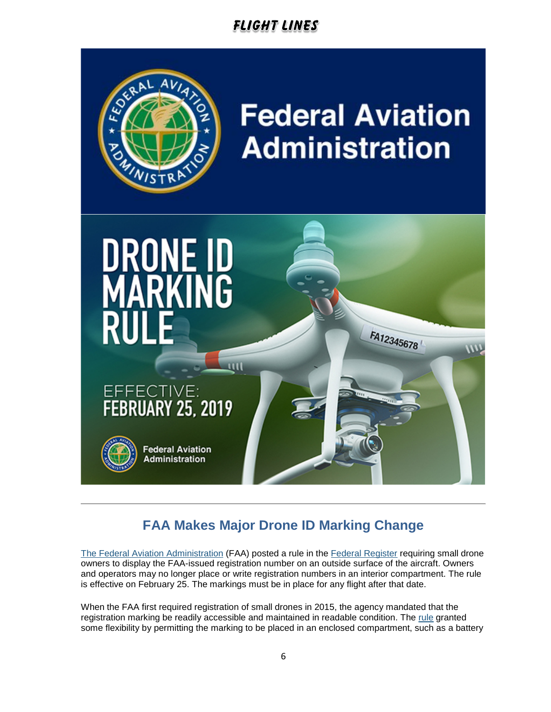

# **FAA Makes Major Drone ID Marking Change**

[The Federal Aviation Administration](http://links.govdelivery.com/track?type=click&enid=ZWFzPTEmbXNpZD0mYXVpZD0mbWFpbGluZ2lkPTIwMTkwMjE1LjE4MTkyNDEmbWVzc2FnZWlkPU1EQi1QUkQtQlVMLTIwMTkwMjE1LjE4MTkyNDEmZGF0YWJhc2VpZD0xMDAxJnNlcmlhbD0xNzM2OTQzNSZlbWFpbGlkPXBnZWRlcnNAY2hhcnRlci5uZXQmdXNlcmlkPXBnZWRlcnNAY2hhcnRlci5uZXQmdGFyZ2V0aWQ9JmZsPSZtdmlkPSZleHRyYT0mJiY=&&&100&&&http://www.faa.gov/) (FAA) posted a rule in the [Federal Register](http://links.govdelivery.com/track?type=click&enid=ZWFzPTEmbXNpZD0mYXVpZD0mbWFpbGluZ2lkPTIwMTkwMjE1LjE4MTkyNDEmbWVzc2FnZWlkPU1EQi1QUkQtQlVMLTIwMTkwMjE1LjE4MTkyNDEmZGF0YWJhc2VpZD0xMDAxJnNlcmlhbD0xNzM2OTQzNSZlbWFpbGlkPXBnZWRlcnNAY2hhcnRlci5uZXQmdXNlcmlkPXBnZWRlcnNAY2hhcnRlci5uZXQmdGFyZ2V0aWQ9JmZsPSZtdmlkPSZleHRyYT0mJiY=&&&101&&&https://www.federalregister.gov/documents/2019/02/13/2019-00765/external-marking-requirement-for-small-unmanned-aircraft) requiring small drone owners to display the FAA-issued registration number on an outside surface of the aircraft. Owners and operators may no longer place or write registration numbers in an interior compartment. The rule is effective on February 25. The markings must be in place for any flight after that date.

When the FAA first required registration of small drones in 2015, the agency mandated that the registration marking be readily accessible and maintained in readable condition. The [rule](http://links.govdelivery.com/track?type=click&enid=ZWFzPTEmbXNpZD0mYXVpZD0mbWFpbGluZ2lkPTIwMTkwMjE1LjE4MTkyNDEmbWVzc2FnZWlkPU1EQi1QUkQtQlVMLTIwMTkwMjE1LjE4MTkyNDEmZGF0YWJhc2VpZD0xMDAxJnNlcmlhbD0xNzM2OTQzNSZlbWFpbGlkPXBnZWRlcnNAY2hhcnRlci5uZXQmdXNlcmlkPXBnZWRlcnNAY2hhcnRlci5uZXQmdGFyZ2V0aWQ9JmZsPSZtdmlkPSZleHRyYT0mJiY=&&&102&&&https://www.ecfr.gov/cgi-bin/text-idx?SID=b452493d215fbaf061c062804673a5b9&mc=true&tpl=/ecfrbrowse/Title14/14cfr48_main_02.tpl) granted some flexibility by permitting the marking to be placed in an enclosed compartment, such as a battery